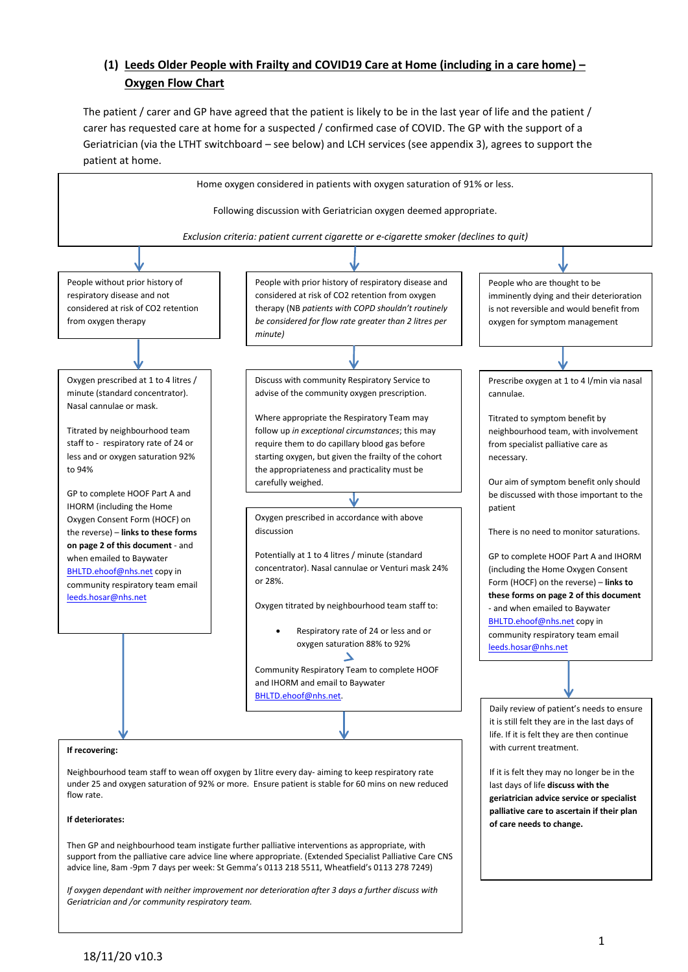# **(1) Leeds Older People with Frailty and COVID19 Care at Home (including in a care home) – Oxygen Flow Chart**

The patient / carer and GP have agreed that the patient is likely to be in the last year of life and the patient / carer has requested care at home for a suspected / confirmed case of COVID. The GP with the support of a Geriatrician (via the LTHT switchboard – see below) and LCH services (see appendix 3), agrees to support the patient at home.



*Geriatrician and /or community respiratory team.*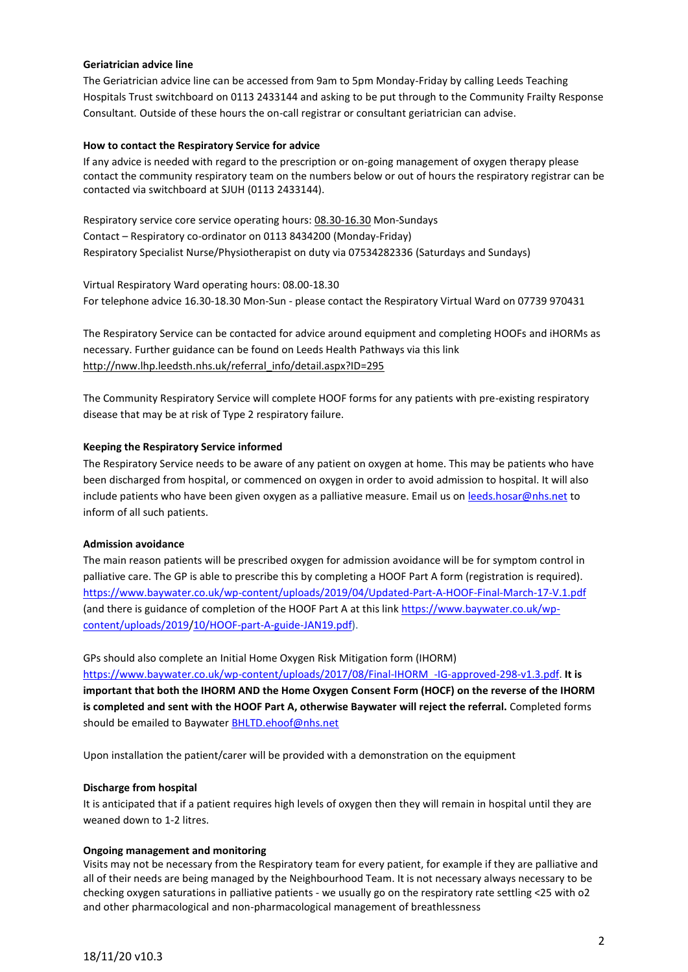#### **Geriatrician advice line**

The Geriatrician advice line can be accessed from 9am to 5pm Monday-Friday by calling Leeds Teaching Hospitals Trust switchboard on 0113 2433144 and asking to be put through to the Community Frailty Response Consultant*.* Outside of these hours the on-call registrar or consultant geriatrician can advise.

## **How to contact the Respiratory Service for advice**

If any advice is needed with regard to the prescription or on-going management of oxygen therapy please contact the community respiratory team on the numbers below or out of hours the respiratory registrar can be contacted via switchboard at SJUH (0113 2433144).

Respiratory service core service operating hours: 08.30-16.30 Mon-Sundays Contact – Respiratory co-ordinator on 0113 8434200 (Monday-Friday) Respiratory Specialist Nurse/Physiotherapist on duty via 07534282336 (Saturdays and Sundays)

Virtual Respiratory Ward operating hours: 08.00-18.30 For telephone advice 16.30-18.30 Mon-Sun - please contact the Respiratory Virtual Ward on 07739 970431

The Respiratory Service can be contacted for advice around equipment and completing HOOFs and iHORMs as necessary. Further guidance can be found on Leeds Health Pathways via this link [http://nww.lhp.leedsth.nhs.uk/referral\\_info/detail.aspx?ID=295](http://nww.lhp.leedsth.nhs.uk/referral_info/detail.aspx?ID=295)

The Community Respiratory Service will complete HOOF forms for any patients with pre-existing respiratory disease that may be at risk of Type 2 respiratory failure.

## **Keeping the Respiratory Service informed**

The Respiratory Service needs to be aware of any patient on oxygen at home. This may be patients who have been discharged from hospital, or commenced on oxygen in order to avoid admission to hospital. It will also include patients who have been given oxygen as a palliative measure. Email us on [leeds.hosar@nhs.net](mailto:leeds.hosar@nhs.net) to inform of all such patients.

#### **Admission avoidance**

The main reason patients will be prescribed oxygen for admission avoidance will be for symptom control in palliative care. The GP is able to prescribe this by completing a HOOF Part A form (registration is required). <https://www.baywater.co.uk/wp-content/uploads/2019/04/Updated-Part-A-HOOF-Final-March-17-V.1.pdf> (and there is guidance of completion of the HOOF Part A at this lin[k https://www.baywater.co.uk/wp](https://www.baywater.co.uk/wp-content/uploads/2019/10/HOOF-part-A-guide-JAN19.pdf)[content/uploads/2019/10/HOOF-part-A-guide-JAN19.pdf\)](https://www.baywater.co.uk/wp-content/uploads/2019/10/HOOF-part-A-guide-JAN19.pdf).

GPs should also complete an Initial Home Oxygen Risk Mitigation form (IHORM)

[https://www.baywater.co.uk/wp-content/uploads/2017/08/Final-IHORM\\_-IG-approved-298-v1.3.pdf.](https://www.baywater.co.uk/wp-content/uploads/2017/08/Final-IHORM_-IG-approved-298-v1.3.pdf) **It is important that both the IHORM AND the Home Oxygen Consent Form (HOCF) on the reverse of the IHORM is completed and sent with the HOOF Part A, otherwise Baywater will reject the referral.** Completed forms should be emailed to Baywate[r BHLTD.ehoof@nhs.net](mailto:BHLTD.ehoof@nhs.net)

Upon installation the patient/carer will be provided with a demonstration on the equipment

#### **Discharge from hospital**

It is anticipated that if a patient requires high levels of oxygen then they will remain in hospital until they are weaned down to 1-2 litres.

#### **Ongoing management and monitoring**

Visits may not be necessary from the Respiratory team for every patient, for example if they are palliative and all of their needs are being managed by the Neighbourhood Team. It is not necessary always necessary to be checking oxygen saturations in palliative patients - we usually go on the respiratory rate settling <25 with o2 and other pharmacological and non-pharmacological management of breathlessness